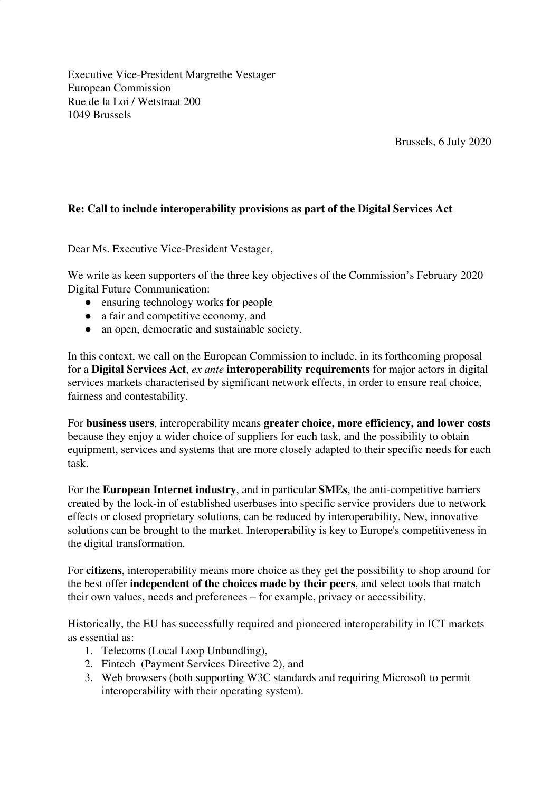Executive Vice-President Margrethe Vestager European Commission Rue de la Loi / Wetstraat 200 1049 Brussels

Brussels, 6 July 2020

## **Re: Call to include interoperability provisions as part of the Digital Services Act**

Dear Ms. Executive Vice-President Vestager,

We write as keen supporters of the three key objectives of the Commission's February 2020 Digital Future Communication:

- ensuring technology works for people
- a fair and competitive economy, and
- an open, democratic and sustainable society.

In this context, we call on the European Commission to include, in its forthcoming proposal for a **Digital Services Act**, *ex ante* **interoperability requirements** for major actors in digital services markets characterised by significant network effects, in order to ensure real choice, fairness and contestability.

For **business users**, interoperability means **greater choice, more efficiency, and lower costs** because they enjoy a wider choice of suppliers for each task, and the possibility to obtain equipment, services and systems that are more closely adapted to their specific needs for each task.

For the **European Internet industry**, and in particular **SMEs**, the anti-competitive barriers created by the lock-in of established userbases into specific service providers due to network effects or closed proprietary solutions, can be reduced by interoperability. New, innovative solutions can be brought to the market. Interoperability is key to Europe's competitiveness in the digital transformation.

For **citizens**, interoperability means more choice as they get the possibility to shop around for the best offer **independent of the choices made by their peers**, and select tools that match their own values, needs and preferences – for example, privacy or accessibility.

Historically, the EU has successfully required and pioneered interoperability in ICT markets as essential as:

- 1. Telecoms (Local Loop Unbundling),
- 2. Fintech (Payment Services Directive 2), and
- 3. Web browsers (both supporting W3C standards and requiring Microsoft to permit interoperability with their operating system).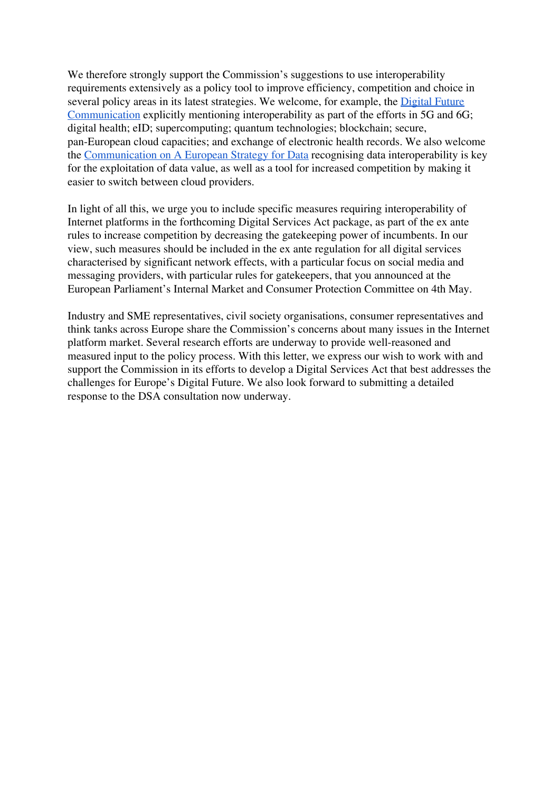We therefore strongly support the Commission's suggestions to use interoperability requirements extensively as a policy tool to improve efficiency, competition and choice in several policy areas in its latest strategies. We welcome, for example, the [Digital Future](https://ec.europa.eu/info/strategy/priorities-2019-2024/europe-fit-digital-age/shaping-europe-digital-future_en) [Communication](https://ec.europa.eu/info/strategy/priorities-2019-2024/europe-fit-digital-age/shaping-europe-digital-future_en) explicitly mentioning interoperability as part of the efforts in 5G and 6G; digital health; eID; supercomputing; quantum technologies; blockchain; secure, pan-European cloud capacities; and exchange of electronic health records. We also welcome the Communication on A European [Strategy for Data](https://ec.europa.eu/info/sites/info/files/communication-european-strategy-data-19feb2020_en.pdf) recognising data interoperability is key for the exploitation of data value, as well as a tool for increased competition by making it easier to switch between cloud providers.

In light of all this, we urge you to include specific measures requiring interoperability of Internet platforms in the forthcoming Digital Services Act package, as part of the ex ante rules to increase competition by decreasing the gatekeeping power of incumbents. In our view, such measures should be included in the ex ante regulation for all digital services characterised by significant network effects, with a particular focus on social media and messaging providers, with particular rules for gatekeepers, that you announced at the European Parliament's Internal Market and Consumer Protection Committee on 4th May.

Industry and SME representatives, civil society organisations, consumer representatives and think tanks across Europe share the Commission's concerns about many issues in the Internet platform market. Several research efforts are underway to provide well-reasoned and measured input to the policy process. With this letter, we express our wish to work with and support the Commission in its efforts to develop a Digital Services Act that best addresses the challenges for Europe's Digital Future. We also look forward to submitting a detailed response to the DSA consultation now underway.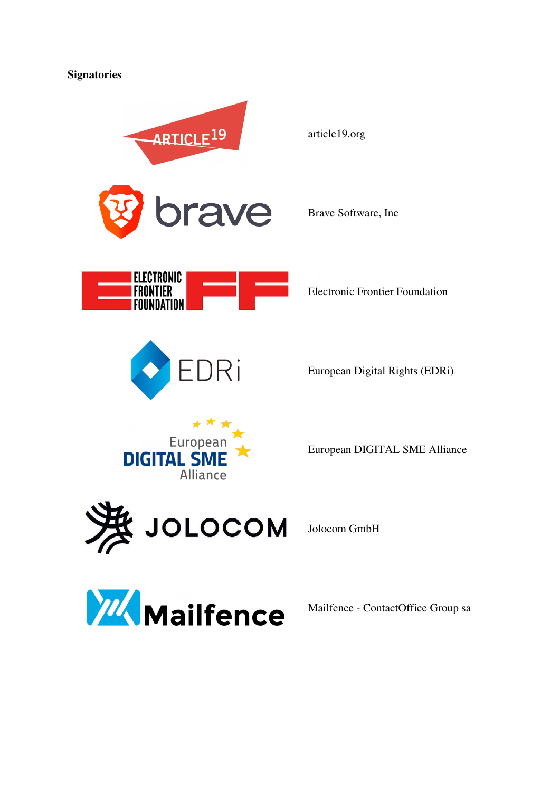



![](_page_2_Picture_2.jpeg)

Mailfence - ContactOffice Group sa